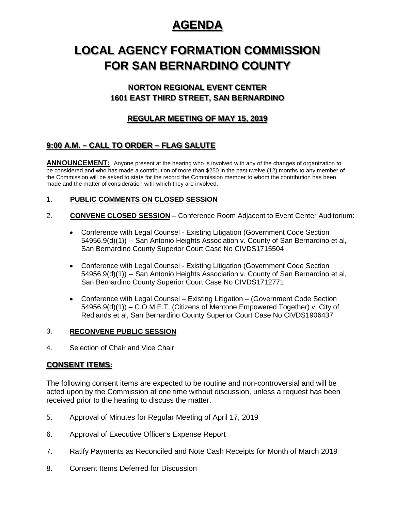## **AGENDA**

# **LOCAL AGENCY FORMATION COMMISSION FOR SAN BERNARDINO COUNTY**

## **NORTON REGIONAL EVENT CENTER 1601 EAST THIRD STREET, SAN BERNARDINO**

## **REGULAR MEETING OF MAY 15, 2019**

## **9:00 A.M. – CALL TO ORDER – FLAG SALUTE**

**ANNOUNCEMENT:** Anyone present at the hearing who is involved with any of the changes of organization to be considered and who has made a contribution of more than \$250 in the past twelve (12) months to any member of the Commission will be asked to state for the record the Commission member to whom the contribution has been made and the matter of consideration with which they are involved.

### 1. **PUBLIC COMMENTS ON CLOSED SESSION**

- 2. **CONVENE CLOSED SESSION** Conference Room Adjacent to Event Center Auditorium:
	- Conference with Legal Counsel Existing Litigation (Government Code Section 54956.9(d)(1)) -- San Antonio Heights Association v. County of San Bernardino et al, San Bernardino County Superior Court Case No CIVDS1715504
	- Conference with Legal Counsel Existing Litigation (Government Code Section 54956.9(d)(1)) -- San Antonio Heights Association v. County of San Bernardino et al, San Bernardino County Superior Court Case No CIVDS1712771
	- Conference with Legal Counsel Existing Litigation (Government Code Section 54956.9(d)(1)) – C.O.M.E.T. (Citizens of Mentone Empowered Together) v. City of Redlands et al, San Bernardino County Superior Court Case No CIVDS1906437

#### 3. **RECONVENE PUBLIC SESSION**

4. Selection of Chair and Vice Chair

### **CONSENT ITEMS:**

The following consent items are expected to be routine and non-controversial and will be acted upon by the Commission at one time without discussion, unless a request has been received prior to the hearing to discuss the matter.

- 5. Approval of Minutes for Regular Meeting of April 17, 2019
- 6. Approval of Executive Officer's Expense Report
- 7. Ratify Payments as Reconciled and Note Cash Receipts for Month of March 2019
- 8. Consent Items Deferred for Discussion